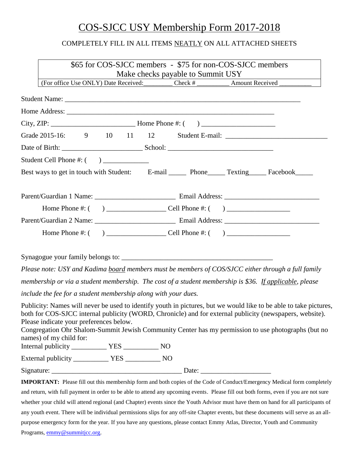# COS-SJCC USY Membership Form 2017-2018

# COMPLETELY FILL IN ALL ITEMS NEATLY ON ALL ATTACHED SHEETS

| \$65 for COS-SJCC members - \$75 for non-COS-SJCC members                                                                                                                                                                                                                                                                                                                                                  |  |
|------------------------------------------------------------------------------------------------------------------------------------------------------------------------------------------------------------------------------------------------------------------------------------------------------------------------------------------------------------------------------------------------------------|--|
| Make checks payable to Summit USY<br>(For office Use ONLY) Date Received: Check # _________ Amount Received ________                                                                                                                                                                                                                                                                                       |  |
|                                                                                                                                                                                                                                                                                                                                                                                                            |  |
|                                                                                                                                                                                                                                                                                                                                                                                                            |  |
|                                                                                                                                                                                                                                                                                                                                                                                                            |  |
|                                                                                                                                                                                                                                                                                                                                                                                                            |  |
|                                                                                                                                                                                                                                                                                                                                                                                                            |  |
|                                                                                                                                                                                                                                                                                                                                                                                                            |  |
|                                                                                                                                                                                                                                                                                                                                                                                                            |  |
| Best ways to get in touch with Student: E-mail ______ Phone_____ Texting_____ Facebook_____                                                                                                                                                                                                                                                                                                                |  |
|                                                                                                                                                                                                                                                                                                                                                                                                            |  |
|                                                                                                                                                                                                                                                                                                                                                                                                            |  |
|                                                                                                                                                                                                                                                                                                                                                                                                            |  |
|                                                                                                                                                                                                                                                                                                                                                                                                            |  |
|                                                                                                                                                                                                                                                                                                                                                                                                            |  |
| Please note: USY and Kadima board members must be members of COS/SJCC either through a full family                                                                                                                                                                                                                                                                                                         |  |
| membership or via a student membership. The cost of a student membership is \$36. If applicable, please                                                                                                                                                                                                                                                                                                    |  |
| include the fee for a student membership along with your dues.                                                                                                                                                                                                                                                                                                                                             |  |
| Publicity: Names will never be used to identify youth in pictures, but we would like to be able to take pictures,<br>both for COS-SJCC internal publicity (WORD, Chronicle) and for external publicity (newspapers, website).<br>Please indicate your preferences below.<br>Congregation Ohr Shalom-Summit Jewish Community Center has my permission to use photographs (but no<br>names) of my child for: |  |
|                                                                                                                                                                                                                                                                                                                                                                                                            |  |
|                                                                                                                                                                                                                                                                                                                                                                                                            |  |
| <b>IMPORTANT:</b> Please fill out this membership form and both copies of the Code of Conduct/Emergency Medical form completely                                                                                                                                                                                                                                                                            |  |

**IMPORTANT:** Please fill out this membership form and both copies of the Code of Conduct/Emergency Medical form completely and return, with full payment in order to be able to attend any upcoming events. Please fill out both forms, even if you are not sure whether your child will attend regional (and Chapter) events since the Youth Advisor must have them on hand for all participants of any youth event. There will be individual permissions slips for any off-site Chapter events, but these documents will serve as an allpurpose emergency form for the year. If you have any questions, please contact Emmy Atlas, Director, Youth and Community Programs, **emmy@summitjcc.org.**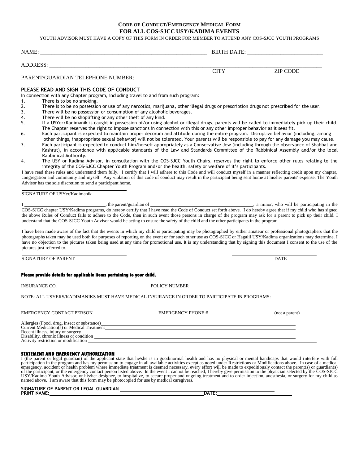## **CODE OF CONDUCT/EMERGENCY MEDICAL FORM FOR ALL COS-SJCC USY/KADIMA EVENTS**

YOUTH ADVISOR MUST HAVE A COPY OF THIS FORM IN ORDER FOR MEMBER TO ATTEND ANY COS-SJCC YOUTH PROGRAMS

| NAME:                             | <b>BIRTH DATE:</b>     |          |
|-----------------------------------|------------------------|----------|
|                                   |                        |          |
| ADDRESS:                          |                        |          |
|                                   | $\cap$ tt $\mathcal V$ | ZIP CODE |
| PARENT/GUARDIAN TELEPHONE NUMBER: |                        |          |

#### **PLEASE READ AND SIGN THIS CODE OF CONDUCT**

In connection with any Chapter program, including travel to and from such program:

- 1. There is to be no smoking.
- 2. There is to be no possession or use of any narcotics, marijuana, other illegal drugs or prescription drugs not prescribed for the user.
- 3. There will be no possession or consumption of any alcoholic beverages.
- 4. There will be no shoplifting or any other theft of any kind.<br>5. If a USYer/Kadimanik is caught in possession of/or using all
- If a USYer/Kadimanik is caught in possession of/or using alcohol or illegal drugs, parents will be called to immediately pick up their child. The Chapter reserves the right to impose sanctions in connection with this or any other improper behavior as it sees fit.
- 6. Each participant is expected to maintain proper decorum and attitude during the entire program. Disruptive behavior (including, among other things, inappropriate sexual behavior) will not be tolerated. Your parents will be responsible to pay for any damage you may cause.
- 3. Each participant is expected to conduct him/herself appropriately as a Conservative Jew (including through the observance of Shabbat and Kashrut), in accordance with applicable standards of the Law and Standards Committee of the Rabbinical Assembly and/or the local Rabbinical Authority.
- 4. The USY or Kadima Advisor, in consultation with the COS-SJCC Youth Chairs, reserves the right to enforce other rules relating to the integrity of the COS-SJCC Chapter Youth Program and/or the health, safety or welfare of it's participants.

I have read these rules and understand them fully. I certify that I will adhere to this Code and will conduct myself in a manner reflecting credit upon my chapter, congregation and community and myself. Any violation of this code of conduct may result in the participant being sent home at his/her parents' expense. The Youth Advisor has the sole discretion to send a participant home.

SIGNATURE OF USYer/Kadimanik

I example 2 and the parent/guardian of  $\blacksquare$ , a minor, who will be participating in the COS-SJCC chapter USY/Kadima programs, do hereby certify that I have read the Code of Conduct set forth above. I do hereby agree that if my child who has signed the above Rules of Conduct fails to adhere to the Code, then in such event those persons in charge of the program may ask for a parent to pick up their child. I understand that the COS-SJCC Youth Advisor would be acting to ensure the safety of the child and the other participants in the program.

I have been made aware of the fact that the events in which my child is participating may be photographed by either amateur or professional photographers that the photographs taken may be used both for purposes of reporting on the event or for such other use as COS-SJCC or Hagalil USY/Kadima organizations may determine. I have no objection to the pictures taken being used at any time for promotional use. It is my understanding that by signing this document I consent to the use of the pictures just referred to.

SIGNATURE OF PARENT DATE

#### **Please provide details for applicable items pertaining to your child.**

INSURANCE CO. POLICY NUMBER

NOTE: ALL USYERS/KADIMANIKS MUST HAVE MEDICAL INSURANCE IN ORDER TO PARTICIPATE IN PROGRAMS:

| <b>EMERGENCY CONTACT PERSON</b>                                                                                                                                                                                              | <b>EMERGENCY PHONE #</b> | (not a parent) |
|------------------------------------------------------------------------------------------------------------------------------------------------------------------------------------------------------------------------------|--------------------------|----------------|
| Allergies (Food, drug, insect or substance)<br>Current Medication( $\bar{s}$ ) or Medical Treatment<br>Recent illness, injury or surgery<br>Disability, chronic illness or condition<br>Activity restriction or modification |                          |                |

#### **STATEMENT AND EMERGENCY AUTHORIZATION**

I (the parent or legal guardian) of the applicant state that he/she is in good/normal health and has no physical or mental handicaps that would interfere with full participation in the program and has my permission to enga of the participant, or the emergency contact person listed above. In the event I cannot be reached, I hereby give permission to the physician selected by the COS-SJCC USY/Kadima Youth Advisor, or his/her designee, to hospitalize, to secure proper and ongoing treatment and to order injection, anesthesia, or surgery for my child as<br>named above. I am aware that this form may be photocopied

**SIGNATURE OF PARENT OR LEGAL GUARDIAN PRINT NAME: \_\_\_\_\_\_\_\_\_\_\_ DATE:**